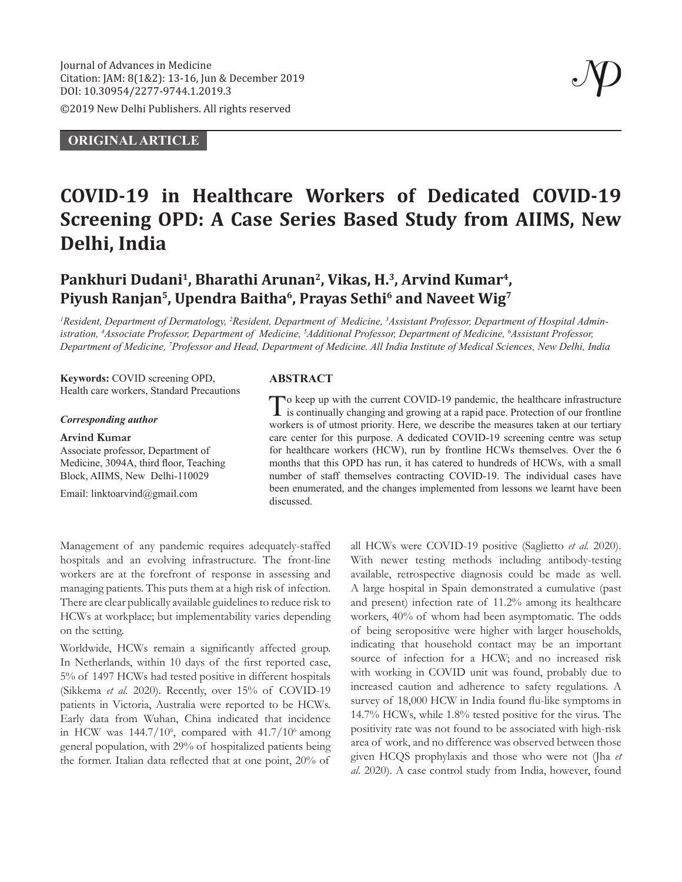©2019 New Delhi Publishers. All rights reserved

### **ORIGINAL ARTICLE**

# **COVID-19 in Healthcare Workers of Dedicated COVID-19 Screening OPD: A Case Series Based Study from AIIMS, New Delhi, India**

## Pankhuri Dudani<sup>1</sup>, Bharathi Arunan<sup>2</sup>, Vikas, H.<sup>3</sup>, Arvind Kumar<sup>4</sup>, Piyush Ranjan<sup>5</sup>, Upendra Baitha<sup>6</sup>, Prayas Sethi<sup>6</sup> and Naveet Wig<sup>7</sup>

<sup>1</sup> Resident, Department of Dermatology, <sup>2</sup> Resident, Department of Medicine, <sup>3</sup> Assistant Professor, Department of Hospital Administration, <sup>4</sup>Associate Professor, Department of Medicine, <sup>5</sup>Additional Professor, Department of Medicine, <sup>6</sup>Assistant Professor, *Department of Medicine, 7 Professor and Head, Department of Medicine. All India Institute of Medical Sciences, New Delhi, India*

**Keywords:** COVID screening OPD, Health care workers, Standard Precautions

#### *Corresponding author*

#### **Arvind Kumar**

Associate professor, Department of Medicine, 3094A, third floor, Teaching Block, AIIMS, New Delhi-110029

Email: linktoarvind@gmail.com

#### **ABSTRACT**

To keep up with the current COVID-19 pandemic, the healthcare infrastructure is continually changing and growing at a rapid pace. Protection of our frontline workers is of utmost priority. Here, we describe the measures taken at our tertiary care center for this purpose. A dedicated COVID-19 screening centre was setup for healthcare workers (HCW), run by frontline HCWs themselves. Over the 6 months that this OPD has run, it has catered to hundreds of HCWs, with a small number of staff themselves contracting COVID-19. The individual cases have been enumerated, and the changes implemented from lessons we learnt have been discussed.

Management of any pandemic requires adequately-staffed hospitals and an evolving infrastructure. The front-line workers are at the forefront of response in assessing and managing patients. This puts them at a high risk of infection. There are clear publically available guidelines to reduce risk to HCWs at workplace; but implementability varies depending on the setting.

Worldwide, HCWs remain a significantly affected group. In Netherlands, within 10 days of the first reported case, 5% of 1497 HCWs had tested positive in different hospitals (Sikkema et al. 2020). Recently, over 15% of COVID-19 patients in Victoria, Australia were reported to be HCWs. Early data from Wuhan, China indicated that incidence in HCW was  $144.7/10^6$ , compared with  $41.7/10^6$  among general population, with 29% of hospitalized patients being the former. Italian data reflected that at one point, 20% of

all HCWs were COVID-19 positive (Saglietto *et al.* 2020). With newer testing methods including antibody-testing available, retrospective diagnosis could be made as well. A large hospital in Spain demonstrated a cumulative (past and present) infection rate of 11.2% among its healthcare workers, 40% of whom had been asymptomatic. The odds of being seropositive were higher with larger households, indicating that household contact may be an important source of infection for a HCW; and no increased risk with working in COVID unit was found, probably due to increased caution and adherence to safety regulations. A survey of 18,000 HCW in India found flu-like symptoms in 14.7% HCWs, while 1.8% tested positive for the virus. The positivity rate was not found to be associated with high-risk area of work, and no difference was observed between those given HCQS prophylaxis and those who were not (Jha *et al.* 2020). A case control study from India, however, found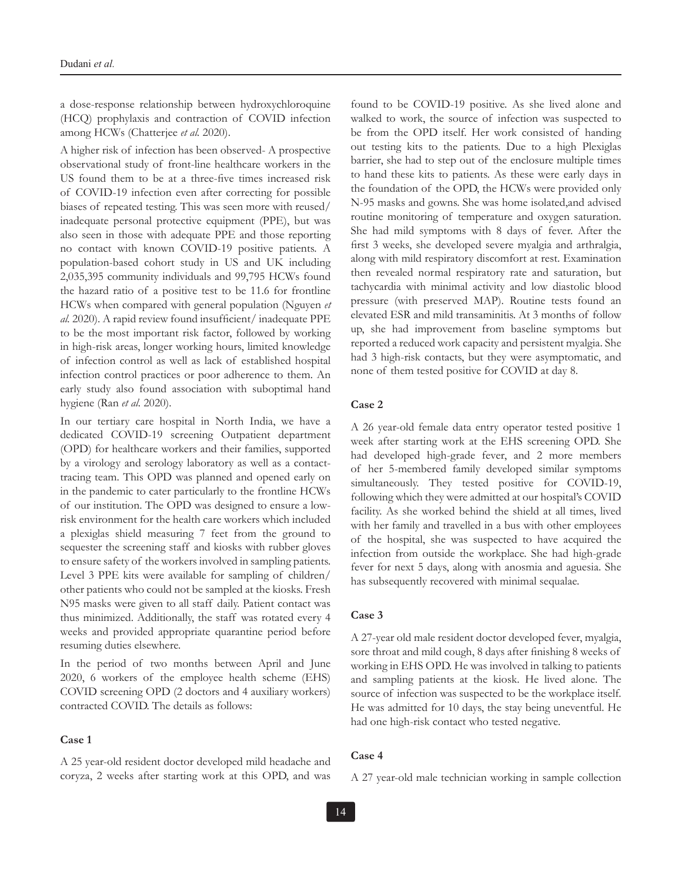a dose-response relationship between hydroxychloroquine (HCQ) prophylaxis and contraction of COVID infection among HCWs (Chatterjee *et al.* 2020).

A higher risk of infection has been observed- A prospective observational study of front-line healthcare workers in the US found them to be at a three-five times increased risk of COVID-19 infection even after correcting for possible biases of repeated testing. This was seen more with reused/ inadequate personal protective equipment (PPE), but was also seen in those with adequate PPE and those reporting no contact with known COVID-19 positive patients. A population-based cohort study in US and UK including 2,035,395 community individuals and 99,795 HCWs found the hazard ratio of a positive test to be 11.6 for frontline HCWs when compared with general population (Nguyen *et al.* 2020). A rapid review found insufficient/ inadequate PPE to be the most important risk factor, followed by working in high-risk areas, longer working hours, limited knowledge of infection control as well as lack of established hospital infection control practices or poor adherence to them. An early study also found association with suboptimal hand hygiene (Ran *et al.* 2020).

In our tertiary care hospital in North India, we have a dedicated COVID-19 screening Outpatient department (OPD) for healthcare workers and their families, supported by a virology and serology laboratory as well as a contacttracing team. This OPD was planned and opened early on in the pandemic to cater particularly to the frontline HCWs of our institution. The OPD was designed to ensure a lowrisk environment for the health care workers which included a plexiglas shield measuring 7 feet from the ground to sequester the screening staff and kiosks with rubber gloves to ensure safety of the workers involved in sampling patients. Level 3 PPE kits were available for sampling of children/ other patients who could not be sampled at the kiosks. Fresh N95 masks were given to all staff daily. Patient contact was thus minimized. Additionally, the staff was rotated every 4 weeks and provided appropriate quarantine period before resuming duties elsewhere.

In the period of two months between April and June 2020, 6 workers of the employee health scheme (EHS) COVID screening OPD (2 doctors and 4 auxiliary workers) contracted COVID. The details as follows:

#### **Case 1**

A 25 year-old resident doctor developed mild headache and coryza, 2 weeks after starting work at this OPD, and was

found to be COVID-19 positive. As she lived alone and walked to work, the source of infection was suspected to be from the OPD itself. Her work consisted of handing out testing kits to the patients. Due to a high Plexiglas barrier, she had to step out of the enclosure multiple times to hand these kits to patients. As these were early days in the foundation of the OPD, the HCWs were provided only N-95 masks and gowns. She was home isolated,and advised routine monitoring of temperature and oxygen saturation. She had mild symptoms with 8 days of fever. After the first 3 weeks, she developed severe myalgia and arthralgia, along with mild respiratory discomfort at rest. Examination then revealed normal respiratory rate and saturation, but tachycardia with minimal activity and low diastolic blood pressure (with preserved MAP). Routine tests found an elevated ESR and mild transaminitis. At 3 months of follow up, she had improvement from baseline symptoms but reported a reduced work capacity and persistent myalgia. She had 3 high-risk contacts, but they were asymptomatic, and none of them tested positive for COVID at day 8.

#### **Case 2**

A 26 year-old female data entry operator tested positive 1 week after starting work at the EHS screening OPD. She had developed high-grade fever, and 2 more members of her 5-membered family developed similar symptoms simultaneously. They tested positive for COVID-19, following which they were admitted at our hospital's COVID facility. As she worked behind the shield at all times, lived with her family and travelled in a bus with other employees of the hospital, she was suspected to have acquired the infection from outside the workplace. She had high-grade fever for next 5 days, along with anosmia and aguesia. She has subsequently recovered with minimal sequalae.

#### **Case 3**

A 27-year old male resident doctor developed fever, myalgia, sore throat and mild cough, 8 days after finishing 8 weeks of working in EHS OPD. He was involved in talking to patients and sampling patients at the kiosk. He lived alone. The source of infection was suspected to be the workplace itself. He was admitted for 10 days, the stay being uneventful. He had one high-risk contact who tested negative.

#### **Case 4**

A 27 year-old male technician working in sample collection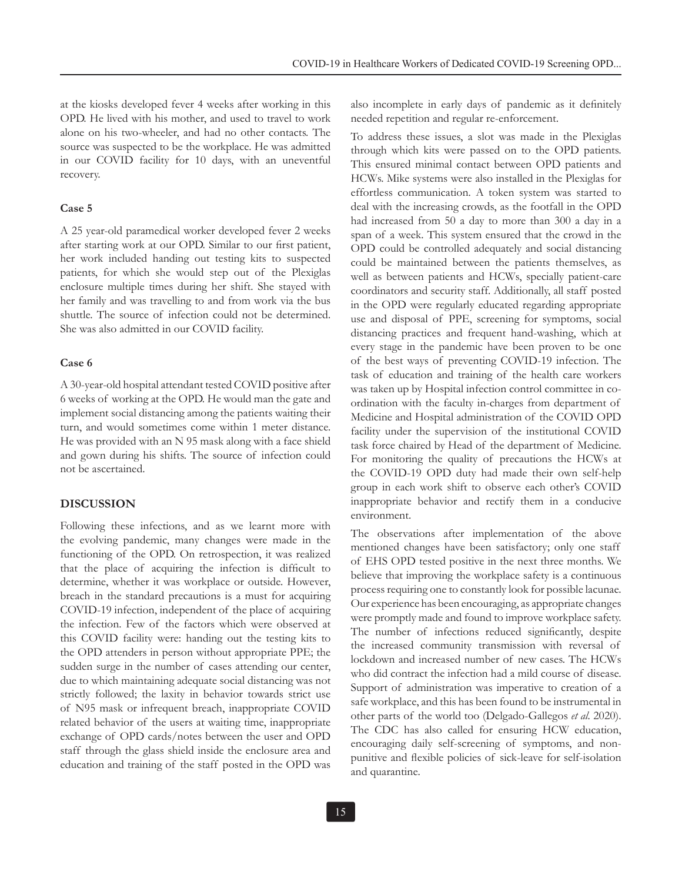at the kiosks developed fever 4 weeks after working in this OPD. He lived with his mother, and used to travel to work alone on his two-wheeler, and had no other contacts. The source was suspected to be the workplace. He was admitted in our COVID facility for 10 days, with an uneventful recovery.

#### **Case 5**

A 25 year-old paramedical worker developed fever 2 weeks after starting work at our OPD. Similar to our first patient, her work included handing out testing kits to suspected patients, for which she would step out of the Plexiglas enclosure multiple times during her shift. She stayed with her family and was travelling to and from work via the bus shuttle. The source of infection could not be determined. She was also admitted in our COVID facility.

#### **Case 6**

A 30-year-old hospital attendant tested COVID positive after 6 weeks of working at the OPD. He would man the gate and implement social distancing among the patients waiting their turn, and would sometimes come within 1 meter distance. He was provided with an N 95 mask along with a face shield and gown during his shifts. The source of infection could not be ascertained.

#### **DISCUSSION**

Following these infections, and as we learnt more with the evolving pandemic, many changes were made in the functioning of the OPD. On retrospection, it was realized that the place of acquiring the infection is difficult to determine, whether it was workplace or outside. However, breach in the standard precautions is a must for acquiring COVID-19 infection, independent of the place of acquiring the infection. Few of the factors which were observed at this COVID facility were: handing out the testing kits to the OPD attenders in person without appropriate PPE; the sudden surge in the number of cases attending our center, due to which maintaining adequate social distancing was not strictly followed; the laxity in behavior towards strict use of N95 mask or infrequent breach, inappropriate COVID related behavior of the users at waiting time, inappropriate exchange of OPD cards/notes between the user and OPD staff through the glass shield inside the enclosure area and education and training of the staff posted in the OPD was also incomplete in early days of pandemic as it definitely needed repetition and regular re-enforcement.

To address these issues, a slot was made in the Plexiglas through which kits were passed on to the OPD patients. This ensured minimal contact between OPD patients and HCWs. Mike systems were also installed in the Plexiglas for effortless communication. A token system was started to deal with the increasing crowds, as the footfall in the OPD had increased from 50 a day to more than 300 a day in a span of a week. This system ensured that the crowd in the OPD could be controlled adequately and social distancing could be maintained between the patients themselves, as well as between patients and HCWs, specially patient-care coordinators and security staff. Additionally, all staff posted in the OPD were regularly educated regarding appropriate use and disposal of PPE, screening for symptoms, social distancing practices and frequent hand-washing, which at every stage in the pandemic have been proven to be one of the best ways of preventing COVID-19 infection. The task of education and training of the health care workers was taken up by Hospital infection control committee in coordination with the faculty in-charges from department of Medicine and Hospital administration of the COVID OPD facility under the supervision of the institutional COVID task force chaired by Head of the department of Medicine. For monitoring the quality of precautions the HCWs at the COVID-19 OPD duty had made their own self-help group in each work shift to observe each other's COVID inappropriate behavior and rectify them in a conducive environment.

The observations after implementation of the above mentioned changes have been satisfactory; only one staff of EHS OPD tested positive in the next three months. We believe that improving the workplace safety is a continuous process requiring one to constantly look for possible lacunae. Our experience has been encouraging, as appropriate changes were promptly made and found to improve workplace safety. The number of infections reduced significantly, despite the increased community transmission with reversal of lockdown and increased number of new cases. The HCWs who did contract the infection had a mild course of disease. Support of administration was imperative to creation of a safe workplace, and this has been found to be instrumental in other parts of the world too (Delgado-Gallegos *et al.* 2020). The CDC has also called for ensuring HCW education, encouraging daily self-screening of symptoms, and nonpunitive and flexible policies of sick-leave for self-isolation and quarantine.